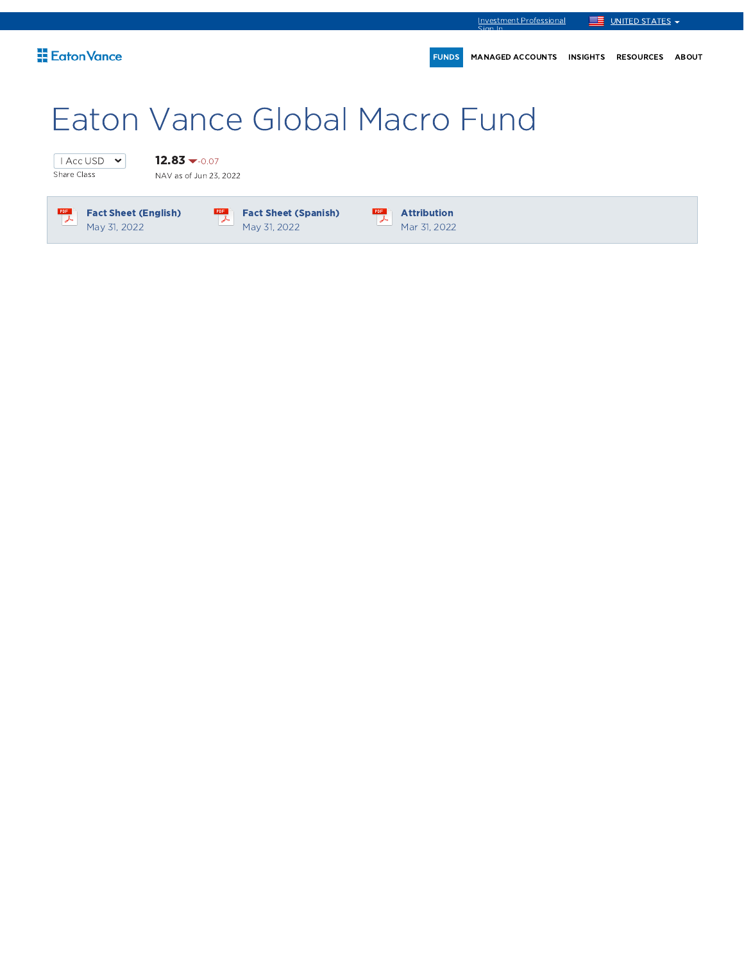

# Eaton Vance Global Macro Fund

 $\boxed{\sqrt{1 \text{ Acc } \text{USD } \bullet}}$ Share Class

 $12.83 - 0.07$ NAV as of Jun 23, 2022



Fact Sheet (Spanish) May 31, 2022



 $\frac{PDF}{\lambda}$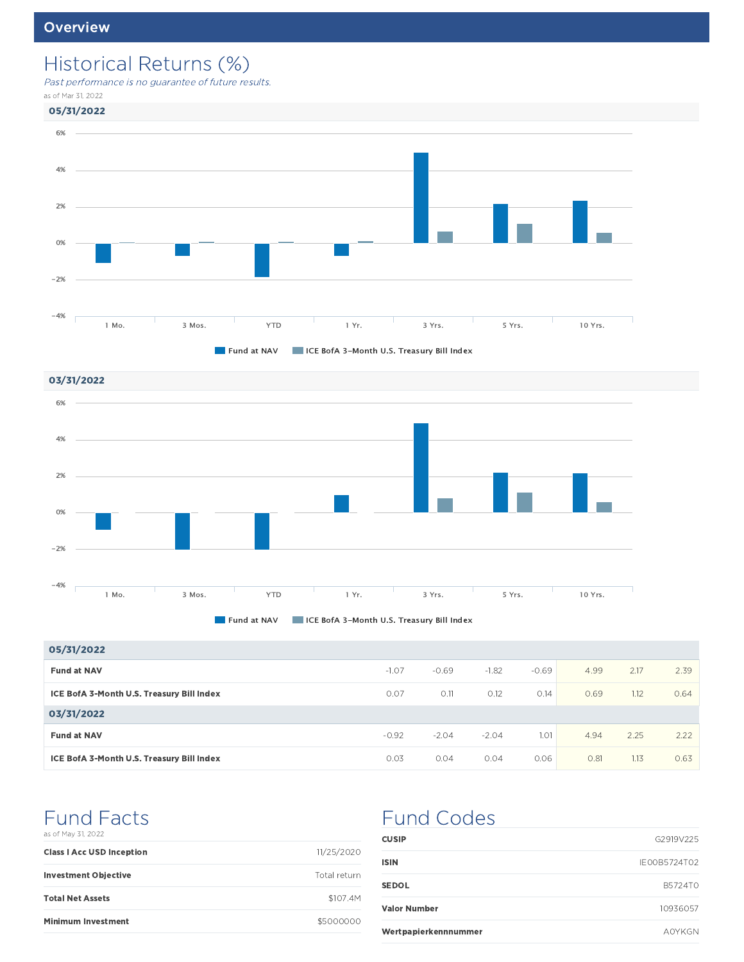## Historical Returns (%)

Past performance is no guarantee of future results.

as of Mar 31, 2022



03/31/2022 6% 4% 2% 0% -2% -4%  $\Gamma$ 1 Mo. 3 Mos. YTD 1 Yr. 3 Yrs. 5 Yrs. 10 Yrs.



| 05/31/2022                                |         |         |         |         |      |      |      |
|-------------------------------------------|---------|---------|---------|---------|------|------|------|
| <b>Fund at NAV</b>                        | $-1.07$ | $-0.69$ | $-1.82$ | $-0.69$ | 4.99 | 2.17 | 2.39 |
| ICE BofA 3-Month U.S. Treasury Bill Index | 0.07    | 0.11    | 0.12    | 0.14    | 0.69 | 1.12 | 0.64 |
| 03/31/2022                                |         |         |         |         |      |      |      |
| <b>Fund at NAV</b>                        | $-0.92$ | $-2.04$ | $-2.04$ | 1.01    | 4.94 | 2.25 | 2.22 |
| ICE BofA 3-Month U.S. Treasury Bill Index | 0.03    | 0.04    | 0.04    | 0.06    | 0.81 | 1.13 | 0.63 |

### Fund Facts as of May 31, 2022

| <b>Class I Acc USD Inception</b> | 11/25/2020   |
|----------------------------------|--------------|
| <b>Investment Objective</b>      | Total return |
| <b>Total Net Assets</b>          | \$107.4M     |
| <b>Minimum Investment</b>        | \$5000000    |

## Fund Codes

| <b>CUSIP</b>         | G2919V225     |
|----------------------|---------------|
| ISIN                 | IE00B5724T02  |
| <b>SEDOL</b>         | B5724T0       |
| <b>Valor Number</b>  | 10936057      |
| Wertpapierkennnummer | <b>AOYKGN</b> |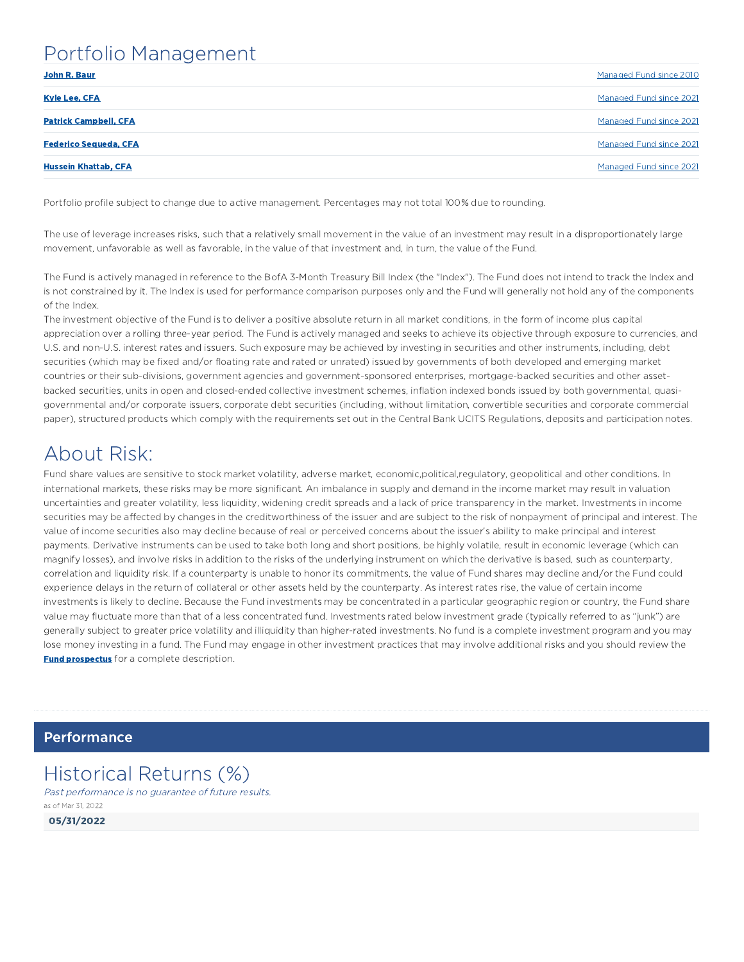### Portfolio Management

| John R. Baur                 | Managed Fund since 2010 |
|------------------------------|-------------------------|
| <b>Kyle Lee, CFA</b>         | Managed Fund since 2021 |
| <b>Patrick Campbell, CFA</b> | Managed Fund since 2021 |
| <b>Federico Sequeda, CFA</b> | Managed Fund since 2021 |
| <b>Hussein Khattab, CFA</b>  | Managed Fund since 2021 |

Portfolio profile subject to change due to active management. Percentages may not total 100% due to rounding.

The use of leverage increases risks, such that a relatively small movement in the value of an investment may result in a disproportionately large movement, unfavorable as well as favorable, in the value of that investment and, in turn, the value of the Fund.

The Fund is actively managed in reference to the BofA 3-Month Treasury Bill Index (the "Index"). The Fund does not intend to track the Index and is not constrained by it. The Index is used for performance comparison purposes only and the Fund will generally not hold any of the components of the Index.

The investment objective of the Fund is to deliver a positive absolute return in all market conditions, in the form of income plus capital appreciation over a rolling three-year period. The Fund is actively managed and seeks to achieve its objective through exposure to currencies, and U.S. and non-U.S. interest rates and issuers. Such exposure may be achieved by investing in securities and other instruments, including, debt securities (which may be fixed and/or floating rate and rated or unrated) issued by governments of both developed and emerging market countries or their sub-divisions, government agencies and government-sponsored enterprises, mortgage-backed securities and other assetbacked securities, units in open and closed-ended collective investment schemes, inflation indexed bonds issued by both governmental, quasigovernmental and/or corporate issuers, corporate debt securities (including, without limitation, convertible securities and corporate commercial paper), structured products which comply with the requirements set out in the Central Bank UCITS Regulations, deposits and participation notes.

## About Risk:

Fund share values are sensitive to stock market volatility, adverse market, economic,political,regulatory, geopolitical and other conditions. In international markets, these risks may be more significant. An imbalance in supply and demand in the income market may result in valuation uncertainties and greater volatility, less liquidity, widening credit spreads and a lack of price transparency in the market. Investments in income securities may be affected by changes in the creditworthiness of the issuer and are subject to the risk of nonpayment of principal and interest. The value of income securities also may decline because of real or perceived concerns about the issuer's ability to make principal and interest payments. Derivative instruments can be used to take both long and short positions, be highly volatile, result in economic leverage (which can magnify losses), and involve risks in addition to the risks of the underlying instrument on which the derivative is based, such as counterparty, correlation and liquidity risk. If a counterparty is unable to honor its commitments, the value of Fund shares may decline and/or the Fund could experience delays in the return of collateral or other assets held by the counterparty. As interest rates rise, the value of certain income investments is likely to decline. Because the Fund investments may be concentrated in a particular geographic region or country, the Fund share value may fluctuate more than that of a less concentrated fund. Investments rated below investment grade (typically referred to as "junk") are generally subject to greater price volatility and illiquidity than higher-rated investments. No fund is a complete investment program and you may lose money investing in a fund. The Fund may engage in other investment practices that may involve additional risks and you should review the **Fund prospectus** for a complete description.

**Performance** 

### Historical Returns (%)

Past performance is no guarantee of future results. as of Mar 31, 2022

05/31/2022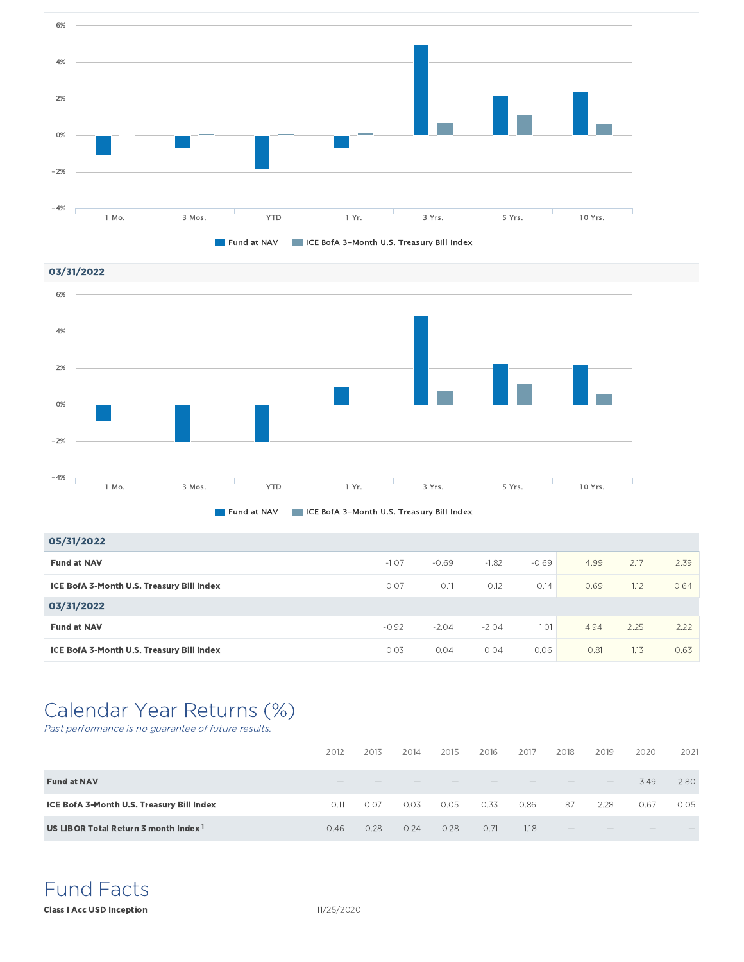



**Fund at NAV IF ICE BofA 3-Month U.S. Treasury Bill Index** 

| 05/31/2022                                |         |         |         |         |      |      |      |
|-------------------------------------------|---------|---------|---------|---------|------|------|------|
| <b>Fund at NAV</b>                        | $-1.07$ | $-0.69$ | $-1.82$ | $-0.69$ | 4.99 | 2.17 | 2.39 |
| ICE BofA 3-Month U.S. Treasury Bill Index | 0.07    | O.11    | 0.12    | 0.14    | 0.69 | 1.12 | 0.64 |
| 03/31/2022                                |         |         |         |         |      |      |      |
| <b>Fund at NAV</b>                        | $-0.92$ | $-2.04$ | $-2.04$ | 1.01    | 4.94 | 2.25 | 2.22 |
| ICE BofA 3-Month U.S. Treasury Bill Index | 0.03    | 0.04    | 0.04    | 0.06    | 0.81 | 1.13 | 0.63 |

## Calendar Year Returns (%)

Past performance is no guarantee of future results.

|                                                  | 2012 | 2013 | 2014 | 2015 | 2016 | 2017 | 2018                            | 2019              | 2020              | 2021 |
|--------------------------------------------------|------|------|------|------|------|------|---------------------------------|-------------------|-------------------|------|
| <b>Fund at NAV</b>                               |      |      | __   |      |      |      | $\hspace{0.1mm}-\hspace{0.1mm}$ | $\qquad \qquad -$ | 3.49              | 2.80 |
| ICE BofA 3-Month U.S. Treasury Bill Index        | 0.11 | 0.07 | 0.03 | 0.05 | 0.33 | 0.86 | 1.87                            | 2.28              | 0.67              | 0.05 |
| US LIBOR Total Return 3 month Index <sup>1</sup> | 0.46 | 0.28 | 0.24 | 0.28 | 0.71 | 1.18 | $\overline{\phantom{m}}$        |                   | $\qquad \qquad -$ |      |

Fund Facts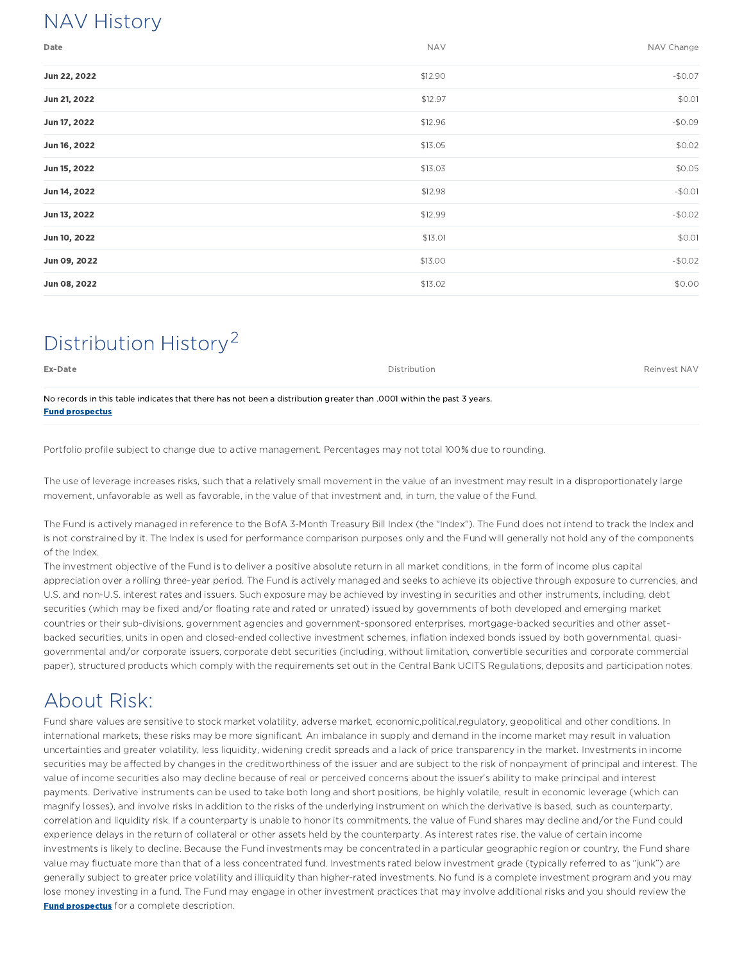## NAV History

| Date         | <b>NAV</b> | NAV Change |
|--------------|------------|------------|
| Jun 22, 2022 | \$12.90    | $-$0.07$   |
| Jun 21, 2022 | \$12.97    | \$0.01     |
| Jun 17, 2022 | \$12.96    | $-50.09$   |
| Jun 16, 2022 | \$13.05    | \$0.02     |
| Jun 15, 2022 | \$13.03    | \$0.05     |
| Jun 14, 2022 | \$12.98    | $-$0.01$   |
| Jun 13, 2022 | \$12.99    | $-$0.02$   |
| Jun 10, 2022 | \$13.01    | \$0.01     |
| Jun 09, 2022 | \$13.00    | $-$0.02$   |
| Jun 08, 2022 | \$13.02    | \$0.00     |

## Distribution History<sup>2</sup>

| Ex-Date                                                                                                                                        | Distribution | Reinvest NAV |
|------------------------------------------------------------------------------------------------------------------------------------------------|--------------|--------------|
| No records in this table indicates that there has not been a distribution greater than 0001 within the past 3 years.<br><b>Fund prospectus</b> |              |              |

Portfolio profile subject to change due to active management. Percentages may not total 100% due to rounding.

The use of leverage increases risks, such that a relatively small movement in the value of an investment may result in a disproportionately large movement, unfavorable as well as favorable, in the value of that investment and, in turn, the value of the Fund.

The Fund is actively managed in reference to the BofA 3-Month Treasury Bill Index (the "Index"). The Fund does not intend to track the Index and is not constrained by it. The Index is used for performance comparison purposes only and the Fund will generally not hold any of the components of the Index.

The investment objective of the Fund is to deliver a positive absolute return in all market conditions, in the form of income plus capital appreciation over a rolling three-year period. The Fund is actively managed and seeks to achieve its objective through exposure to currencies, and U.S. and non-U.S. interest rates and issuers. Such exposure may be achieved by investing in securities and other instruments, including, debt securities (which may be fixed and/or floating rate and rated or unrated) issued by governments of both developed and emerging market countries or their sub-divisions, government agencies and government-sponsored enterprises, mortgage-backed securities and other assetbacked securities, units in open and closed-ended collective investment schemes, inflation indexed bonds issued by both governmental, quasigovernmental and/or corporate issuers, corporate debt securities (including, without limitation, convertible securities and corporate commercial paper), structured products which comply with the requirements set out in the Central Bank UCITS Regulations, deposits and participation notes.

## About Risk:

Fund share values are sensitive to stock market volatility, adverse market, economic,political,regulatory, geopolitical and other conditions. In international markets, these risks may be more significant. An imbalance in supply and demand in the income market may result in valuation uncertainties and greater volatility, less liquidity, widening credit spreads and a lack of price transparency in the market. Investments in income securities may be affected by changes in the creditworthiness of the issuer and are subject to the risk of nonpayment of principal and interest. The value of income securities also may decline because of real or perceived concerns about the issuer's ability to make principal and interest payments. Derivative instruments can be used to take both long and short positions, be highly volatile, result in economic leverage (which can magnify losses), and involve risks in addition to the risks of the underlying instrument on which the derivative is based, such as counterparty, correlation and liquidity risk. If a counterparty is unable to honor its commitments, the value of Fund shares may decline and/or the Fund could experience delays in the return of collateral or other assets held by the counterparty. As interest rates rise, the value of certain income investments is likely to decline. Because the Fund investments may be concentrated in a particular geographic region or country, the Fund share value may fluctuate more than that of a less concentrated fund. Investments rated below investment grade (typically referred to as "junk") are generally subject to greater price volatility and illiquidity than higher-rated investments. No fund is a complete investment program and you may lose money investing in a fund. The Fund may engage in other investment practices that may involve additional risks and you should review the **Fund prospectus** for a complete description.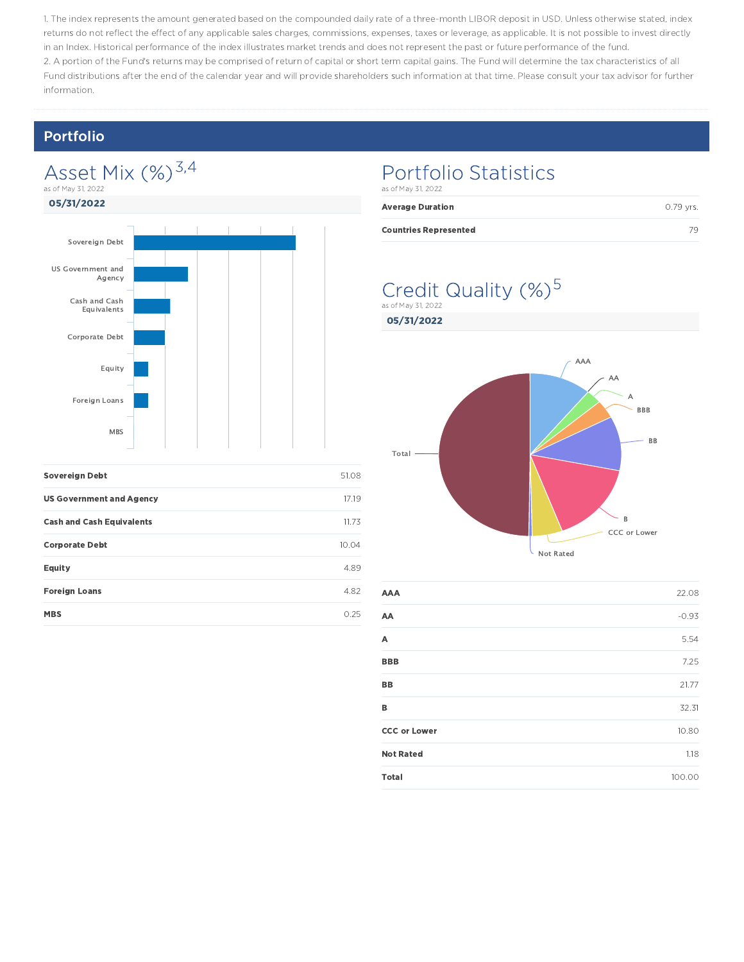1. The index represents the amount generated based on the compounded daily rate of a three-month LIBOR deposit in USD. Unless otherwise stated, index returns do not reflect the effect of any applicable sales charges, commissions, expenses, taxes or leverage, as applicable. It is not possible to invest directly in an Index. Historical performance of the index illustrates market trends and does not represent the past or future performance of the fund. 2. A portion of the Fund's returns may be comprised of return of capital or short term capital gains. The Fund will determine the tax characteristics of all Fund distributions after the end of the calendar year and will provide shareholders such information at that time. Please consult your tax advisor for further information.

### Portfolio

### Asset Mix (%)<sup>3,4</sup> as of May 31, 2022



| <b>Sovereign Debt</b>            | 51.08 |
|----------------------------------|-------|
| <b>US Government and Agency</b>  | 17.19 |
| <b>Cash and Cash Equivalents</b> | 11.73 |
| <b>Corporate Debt</b>            | 10.04 |
| <b>Equity</b>                    | 4.89  |
| <b>Foreign Loans</b>             | 4.82  |
| <b>MBS</b>                       | O 25  |

## Portfolio Statistics

| as of May 31, 2022           |           |
|------------------------------|-----------|
| <b>Average Duration</b>      | 0.79 vrs. |
| <b>Countries Represented</b> | 70        |

### Credit Quality (%)<sup>5</sup> as of May 31, 2022

05/31/2022



| AAA                 | 22.08   |
|---------------------|---------|
| AA                  | $-0.93$ |
| А                   | 5.54    |
| <b>BBB</b>          | 7.25    |
| BB                  | 21.77   |
| B                   | 32.31   |
| <b>CCC or Lower</b> | 10.80   |
| <b>Not Rated</b>    | 1.18    |
| <b>Total</b>        | 100.00  |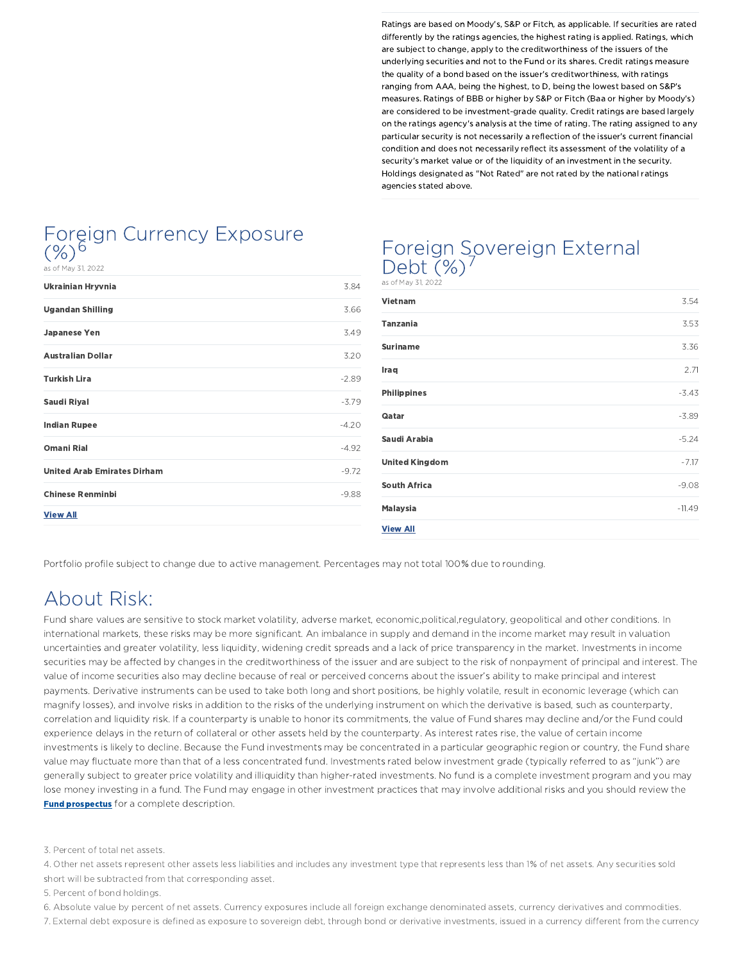Ratings are based on Moody's, S&P or Fitch, as applicable. If securities are rated differently by the ratings agencies, the highest rating is applied. Ratings, which are subject to change, apply to the creditworthiness of the issuers of the underlying securities and not to the Fund or its shares. Credit ratings measure the quality of a bond based on the issuer's creditworthiness, with ratings ranging from AAA, being the highest, to D, being the lowest based on S&P's measures. Ratings of BBB or higher by S&P or Fitch (Baa or higher by Moody's) are considered to be investment-grade quality. Credit ratings are based largely on the ratings agency's analysis at the time of rating. The rating assigned to any particular security is not necessarily a reflection of the issuer's current financial condition and does not necessarily reflect its assessment of the volatility of a security's market value or of the liquidity of an investment in the security. Holdings designated as "Not Rated" are not rated by the national ratings agencies stated above.

### Foreign Currency Exposure  $(\%)^{6}$

of May 31, 2022

| 3.84    |
|---------|
| 3.66    |
| 3.49    |
| 3.20    |
| $-2.89$ |
| $-3.79$ |
| $-4.20$ |
| $-4.92$ |
| $-9.72$ |
| $-9.88$ |
|         |
|         |

### Foreign Sovereign External  $Debt$   $(\%)^7$

as of May 31, 2022

| <b>Vietnam</b>        | 3.54     |
|-----------------------|----------|
| <b>Tanzania</b>       | 3.53     |
| <b>Suriname</b>       | 3.36     |
| Iraq                  | 2.71     |
| <b>Philippines</b>    | $-3.43$  |
| Qatar                 | $-3.89$  |
| Saudi Arabia          | $-5.24$  |
| <b>United Kingdom</b> | $-7.17$  |
| <b>South Africa</b>   | $-9.08$  |
| <b>Malaysia</b>       | $-11.49$ |
| <b>View All</b>       |          |

Portfolio profile subject to change due to active management. Percentages may not total 100% due to rounding.

## About Risk:

Fund share values are sensitive to stock market volatility, adverse market, economic,political,regulatory, geopolitical and other conditions. In international markets, these risks may be more significant. An imbalance in supply and demand in the income market may result in valuation uncertainties and greater volatility, less liquidity, widening credit spreads and a lack of price transparency in the market. Investments in income securities may be affected by changes in the creditworthiness of the issuer and are subject to the risk of nonpayment of principal and interest. The value of income securities also may decline because of real or perceived concerns about the issuer's ability to make principal and interest payments. Derivative instruments can be used to take both long and short positions, be highly volatile, result in economic leverage (which can magnify losses), and involve risks in addition to the risks of the underlying instrument on which the derivative is based, such as counterparty, correlation and liquidity risk. If a counterparty is unable to honor its commitments, the value of Fund shares may decline and/or the Fund could experience delays in the return of collateral or other assets held by the counterparty. As interest rates rise, the value of certain income investments is likely to decline. Because the Fund investments may be concentrated in a particular geographic region or country, the Fund share value may fluctuate more than that of a less concentrated fund. Investments rated below investment grade (typically referred to as "junk") are generally subject to greater price volatility and illiquidity than higher-rated investments. No fund is a complete investment program and you may lose money investing in a fund. The Fund may engage in other investment practices that may involve additional risks and you should review the **Fund prospectus** for a complete description.

3. Percent of total net assets.

4. Other net assets represent other assets less liabilities and includes any investment type that represents less than 1% of net assets. Any securities sold short will be subtracted from that corresponding asset.

5. Percent of bond holdings.

6. Absolute value by percent of net assets. Currency exposures include all foreign exchange denominated assets, currency derivatives and commodities.

7. External debt exposure is defined as exposure to sovereign debt, through bond or derivative investments, issued in a currency different from the currency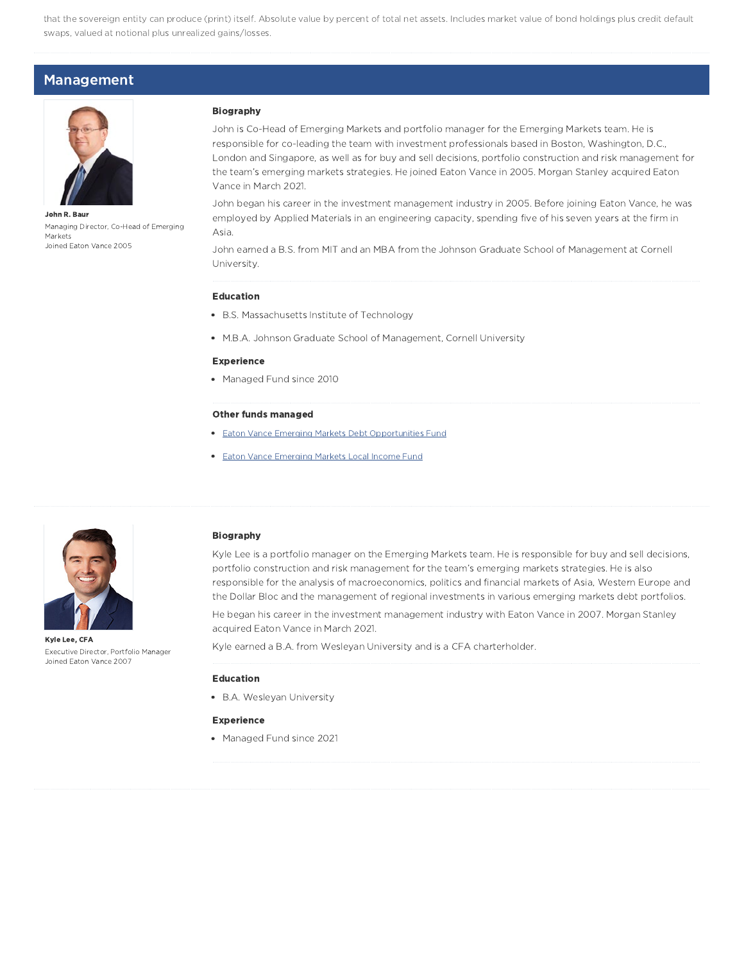that the sovereign entity can produce (print) itself. Absolute value by percent of total net assets. Includes market value of bond holdings plus credit default swaps, valued at notional plus unrealized gains/losses.

### Management



John R. Baur Managing Director, Co-Head of Emerging Markets Joined Eaton Vance 2005

#### Biography

John is Co-Head of Emerging Markets and portfolio manager for the Emerging Markets team. He is responsible for co-leading the team with investment professionals based in Boston, Washington, D.C., London and Singapore, as well as for buy and sell decisions, portfolio construction and risk management for the team's emerging markets strategies. He joined Eaton Vance in 2005. Morgan Stanley acquired Eaton Vance in March 2021.

John began his career in the investment management industry in 2005. Before joining Eaton Vance, he was employed by Applied Materials in an engineering capacity, spending five of his seven years at the firm in Asia.

John earned a B.S. from MIT and an MBA from the Johnson Graduate School of Management at Cornell University.

#### Education

- B.S. Massachusetts Institute of Technology
- M.B.A. Johnson Graduate School of Management, Cornell University

#### Experience

• Managed Fund since 2010

#### Other funds managed

- **Eaton Vance Emerging Markets Debt Opportunities Fund**
- **Eaton Vance Emerging Markets Local Income Fund**



Kyle Lee, CFA Executive Director, Portfolio Manager Joined Eaton Vance 2007

#### Biography

Kyle Lee is a portfolio manager on the Emerging Markets team. He is responsible for buy and sell decisions, portfolio construction and risk management for the team's emerging markets strategies. He is also responsible for the analysis of macroeconomics, politics and financial markets of Asia, Western Europe and the Dollar Bloc and the management of regional investments in various emerging markets debt portfolios.

He began his career in the investment management industry with Eaton Vance in 2007. Morgan Stanley acquired Eaton Vance in March 2021.

Kyle earned a B.A. from Wesleyan University and is a CFA charterholder.

#### Education

B.A. Wesleyan University

#### Experience

Managed Fund since 2021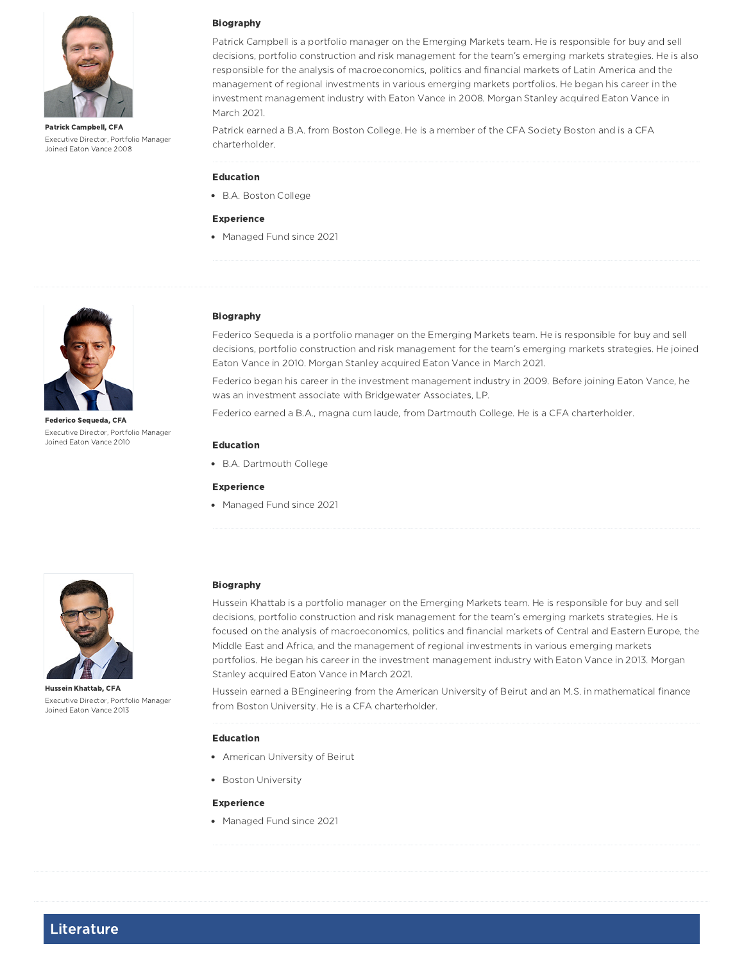

Patrick Campbell, CFA Executive Director, Portfolio Manager Joined Eaton Vance 2008

#### Biography

Patrick Campbell is a portfolio manager on the Emerging Markets team. He is responsible for buy and sell decisions, portfolio construction and risk management for the team's emerging markets strategies. He is also responsible for the analysis of macroeconomics, politics and financial markets of Latin America and the management of regional investments in various emerging markets portfolios. He began his career in the investment management industry with Eaton Vance in 2008. Morgan Stanley acquired Eaton Vance in March 2021.

Patrick earned a B.A. from Boston College. He is a member of the CFA Society Boston and is a CFA charterholder.

#### Education

B.A. Boston College

#### Experience

• Managed Fund since 2021



Federico Sequeda, CFA Executive Director, Portfolio Manager Joined Eaton Vance 2010

#### Biography

Federico Sequeda is a portfolio manager on the Emerging Markets team. He is responsible for buy and sell decisions, portfolio construction and risk management for the team's emerging markets strategies. He joined Eaton Vance in 2010. Morgan Stanley acquired Eaton Vance in March 2021.

Federico began his career in the investment management industry in 2009. Before joining Eaton Vance, he was an investment associate with Bridgewater Associates, LP.

Federico earned a B.A., magna cum laude, from Dartmouth College. He is a CFA charterholder.

#### Education

B.A. Dartmouth College

#### Experience

• Managed Fund since 2021



Hussein Khattab, CFA Executive Director, Portfolio Manager Joined Eaton Vance 2013

#### Biography

Hussein Khattab is a portfolio manager on the Emerging Markets team. He is responsible for buy and sell decisions, portfolio construction and risk management for the team's emerging markets strategies. He is focused on the analysis of macroeconomics, politics and financial markets of Central and Eastern Europe, the Middle East and Africa, and the management of regional investments in various emerging markets portfolios. He began his career in the investment management industry with Eaton Vance in 2013. Morgan Stanley acquired Eaton Vance in March 2021.

Hussein earned a BEngineering from the American University of Beirut and an M.S. in mathematical finance from Boston University. He is a CFA charterholder.

#### Education

- American University of Beirut
- Boston University

#### Experience

• Managed Fund since 2021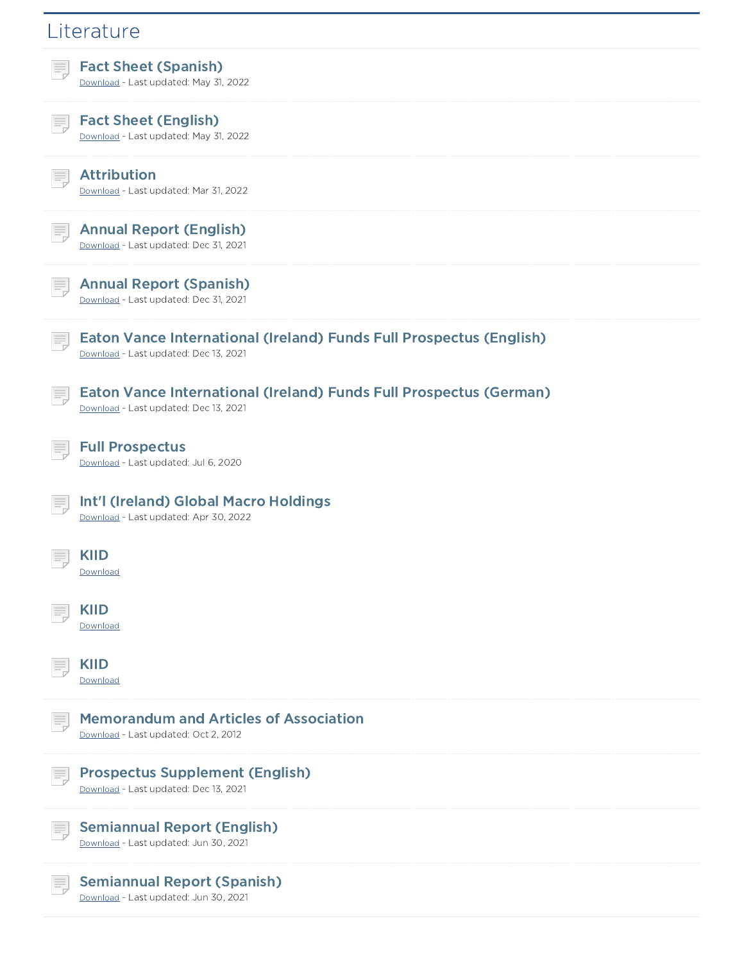## **Literature** Fact Sheet (Spanish) Download - Last updated: May 31, 2022 Fact Sheet (English) Download - Last updated: May 31, 2022 Attribution Download - Last updated: Mar 31, 2022 Annual Report (English) Download - Last updated: Dec 31, 2021 Annual Report (Spanish) Download - Last updated: Dec 31, 2021 巪 Eaton Vance International (Ireland) Funds Full Prospectus (English) Download - Last updated: Dec 13, 2021 Eaton Vance International (Ireland) Funds Full Prospectus (German) Download - Last updated: Dec 13, 2021 Full Prospectus Download - Last updated: Jul 6, 2020 Int'l (Ireland) Global Macro Holdings Download - Last updated: Apr 30, 2022 KIID Download KIID Download KIID Download Memorandum and Articles of Association Download - Last updated: Oct 2, 2012 Prospectus Supplement (English) Ħ. Download - Last updated: Dec 13, 2021 Semiannual Report (English) Download - Last updated: Jun 30, 2021 Semiannual Report (Spanish) Download - Last updated: Jun 30, 2021